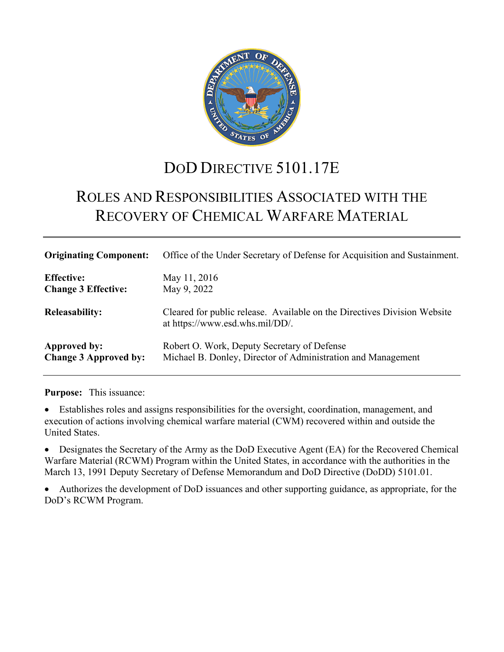

# DOD DIRECTIVE 5101.17E

# ROLES AND RESPONSIBILITIES ASSOCIATED WITH THE RECOVERY OF CHEMICAL WARFARE MATERIAL

| <b>Originating Component:</b> | Office of the Under Secretary of Defense for Acquisition and Sustainment.                                   |
|-------------------------------|-------------------------------------------------------------------------------------------------------------|
| <b>Effective:</b>             | May 11, 2016                                                                                                |
| <b>Change 3 Effective:</b>    | May 9, 2022                                                                                                 |
| <b>Releasability:</b>         | Cleared for public release. Available on the Directives Division Website<br>at https://www.esd.whs.mil/DD/. |
| Approved by:                  | Robert O. Work, Deputy Secretary of Defense                                                                 |
| <b>Change 3 Approved by:</b>  | Michael B. Donley, Director of Administration and Management                                                |

**Purpose:** This issuance:

• Establishes roles and assigns responsibilities for the oversight, coordination, management, and execution of actions involving chemical warfare material (CWM) recovered within and outside the United States.

• Designates the Secretary of the Army as the DoD Executive Agent (EA) for the Recovered Chemical Warfare Material (RCWM) Program within the United States, in accordance with the authorities in the March 13, 1991 Deputy Secretary of Defense Memorandum and DoD Directive (DoDD) 5101.01.

• Authorizes the development of DoD issuances and other supporting guidance, as appropriate, for the DoD's RCWM Program.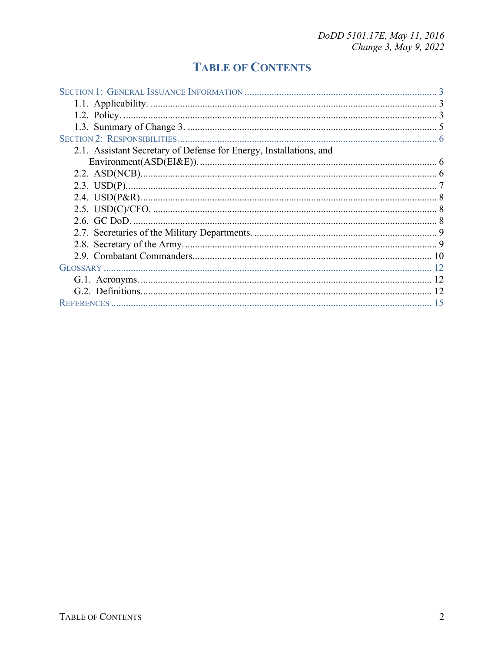## **TABLE OF CONTENTS**

| 2.1. Assistant Secretary of Defense for Energy, Installations, and |  |
|--------------------------------------------------------------------|--|
|                                                                    |  |
|                                                                    |  |
|                                                                    |  |
|                                                                    |  |
|                                                                    |  |
|                                                                    |  |
|                                                                    |  |
|                                                                    |  |
|                                                                    |  |
|                                                                    |  |
|                                                                    |  |
|                                                                    |  |
|                                                                    |  |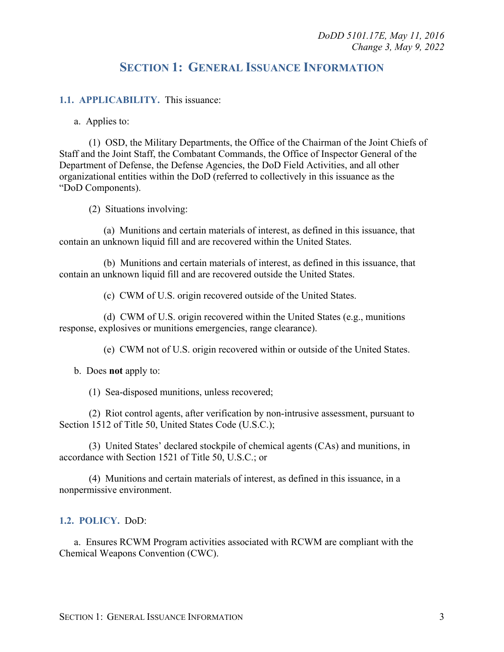## **SECTION 1: GENERAL ISSUANCE INFORMATION**

#### <span id="page-2-1"></span><span id="page-2-0"></span>**1.1. APPLICABILITY.** This issuance:

a. Applies to:

(1) OSD, the Military Departments, the Office of the Chairman of the Joint Chiefs of Staff and the Joint Staff, the Combatant Commands, the Office of Inspector General of the Department of Defense, the Defense Agencies, the DoD Field Activities, and all other organizational entities within the DoD (referred to collectively in this issuance as the "DoD Components).

(2) Situations involving:

(a) Munitions and certain materials of interest, as defined in this issuance, that contain an unknown liquid fill and are recovered within the United States.

(b) Munitions and certain materials of interest, as defined in this issuance, that contain an unknown liquid fill and are recovered outside the United States.

(c) CWM of U.S. origin recovered outside of the United States.

(d) CWM of U.S. origin recovered within the United States (e.g., munitions response, explosives or munitions emergencies, range clearance).

(e) CWM not of U.S. origin recovered within or outside of the United States.

b. Does **not** apply to:

(1) Sea-disposed munitions, unless recovered;

(2) Riot control agents, after verification by non-intrusive assessment, pursuant to Section 1512 of Title 50, United States Code (U.S.C.);

(3) United States' declared stockpile of chemical agents (CAs) and munitions, in accordance with Section 1521 of Title 50, U.S.C.; or

(4) Munitions and certain materials of interest, as defined in this issuance, in a nonpermissive environment.

#### <span id="page-2-2"></span>**1.2. POLICY.** DoD:

a. Ensures RCWM Program activities associated with RCWM are compliant with the Chemical Weapons Convention (CWC).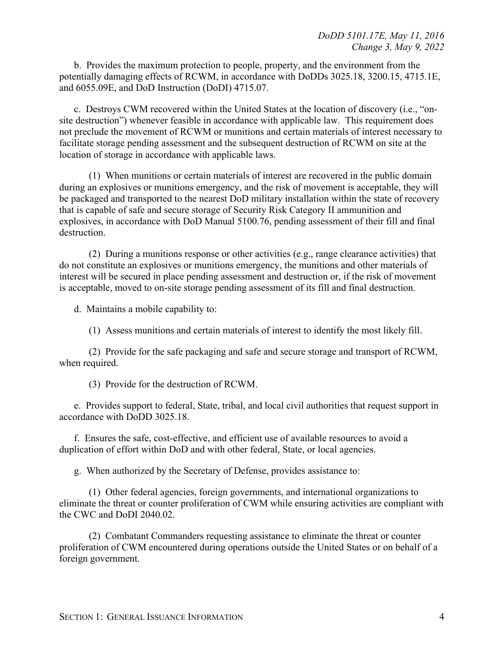b. Provides the maximum protection to people, property, and the environment from the potentially damaging effects of RCWM, in accordance with DoDDs 3025.18, 3200.15, 4715.1E, and 6055.09E, and DoD Instruction (DoDI) 4715.07.

c. Destroys CWM recovered within the United States at the location of discovery (i.e., "onsite destruction") whenever feasible in accordance with applicable law. This requirement does not preclude the movement of RCWM or munitions and certain materials of interest necessary to facilitate storage pending assessment and the subsequent destruction of RCWM on site at the location of storage in accordance with applicable laws.

(1) When munitions or certain materials of interest are recovered in the public domain during an explosives or munitions emergency, and the risk of movement is acceptable, they will be packaged and transported to the nearest DoD military installation within the state of recovery that is capable of safe and secure storage of Security Risk Category II ammunition and explosives, in accordance with DoD Manual 5100.76, pending assessment of their fill and final destruction.

(2) During a munitions response or other activities (e.g., range clearance activities) that do not constitute an explosives or munitions emergency, the munitions and other materials of interest will be secured in place pending assessment and destruction or, if the risk of movement is acceptable, moved to on-site storage pending assessment of its fill and final destruction.

d. Maintains a mobile capability to:

(1) Assess munitions and certain materials of interest to identify the most likely fill.

(2) Provide for the safe packaging and safe and secure storage and transport of RCWM, when required.

(3) Provide for the destruction of RCWM.

e. Provides support to federal, State, tribal, and local civil authorities that request support in accordance with DoDD 3025.18.

f. Ensures the safe, cost-effective, and efficient use of available resources to avoid a duplication of effort within DoD and with other federal, State, or local agencies.

g. When authorized by the Secretary of Defense, provides assistance to:

(1) Other federal agencies, foreign governments, and international organizations to eliminate the threat or counter proliferation of CWM while ensuring activities are compliant with the CWC and DoDI 2040.02.

(2) Combatant Commanders requesting assistance to eliminate the threat or counter proliferation of CWM encountered during operations outside the United States or on behalf of a foreign government.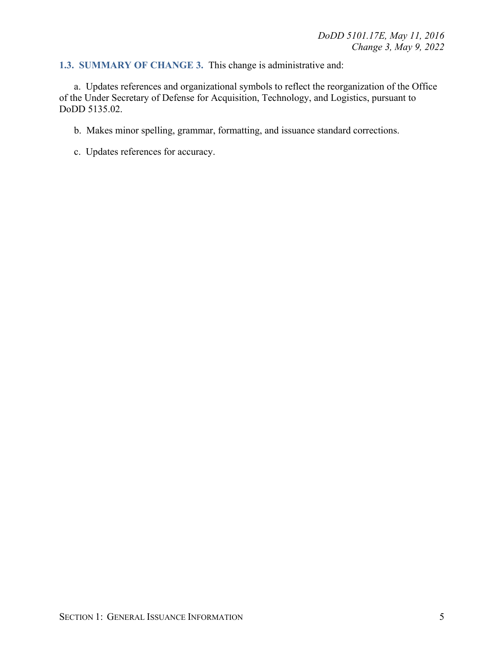### <span id="page-4-0"></span>**1.3. SUMMARY OF CHANGE 3.** This change is administrative and:

a. Updates references and organizational symbols to reflect the reorganization of the Office of the Under Secretary of Defense for Acquisition, Technology, and Logistics, pursuant to DoDD 5135.02.

b. Makes minor spelling, grammar, formatting, and issuance standard corrections.

c. Updates references for accuracy.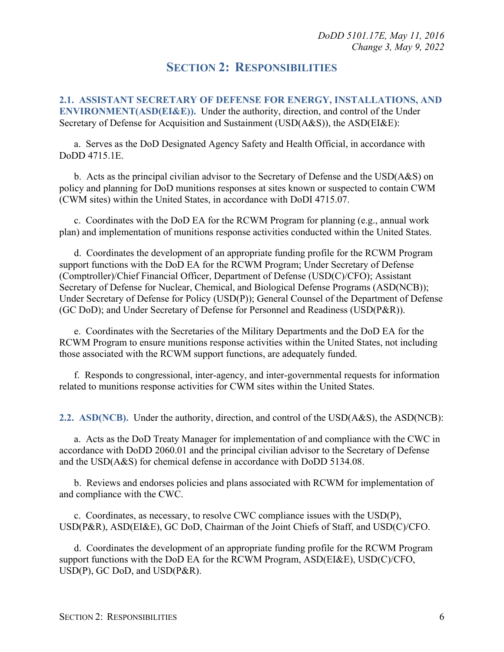### **SECTION 2: RESPONSIBILITIES**

<span id="page-5-1"></span><span id="page-5-0"></span>**2.1. ASSISTANT SECRETARY OF DEFENSE FOR ENERGY, INSTALLATIONS, AND ENVIRONMENT(ASD(EI&E)).** Under the authority, direction, and control of the Under Secretary of Defense for Acquisition and Sustainment (USD(A&S)), the ASD(EI&E):

a. Serves as the DoD Designated Agency Safety and Health Official, in accordance with DoDD 4715.1E.

b. Acts as the principal civilian advisor to the Secretary of Defense and the USD(A&S) on policy and planning for DoD munitions responses at sites known or suspected to contain CWM (CWM sites) within the United States, in accordance with DoDI 4715.07.

c. Coordinates with the DoD EA for the RCWM Program for planning (e.g., annual work plan) and implementation of munitions response activities conducted within the United States.

d. Coordinates the development of an appropriate funding profile for the RCWM Program support functions with the DoD EA for the RCWM Program; Under Secretary of Defense (Comptroller)/Chief Financial Officer, Department of Defense (USD(C)/CFO); Assistant Secretary of Defense for Nuclear, Chemical, and Biological Defense Programs (ASD(NCB)); Under Secretary of Defense for Policy (USD(P)); General Counsel of the Department of Defense (GC DoD); and Under Secretary of Defense for Personnel and Readiness (USD(P&R)).

e. Coordinates with the Secretaries of the Military Departments and the DoD EA for the RCWM Program to ensure munitions response activities within the United States, not including those associated with the RCWM support functions, are adequately funded.

f. Responds to congressional, inter-agency, and inter-governmental requests for information related to munitions response activities for CWM sites within the United States.

<span id="page-5-2"></span>**2.2. ASD(NCB).** Under the authority, direction, and control of the USD(A&S), the ASD(NCB):

a. Acts as the DoD Treaty Manager for implementation of and compliance with the CWC in accordance with DoDD 2060.01 and the principal civilian advisor to the Secretary of Defense and the USD(A&S) for chemical defense in accordance with DoDD 5134.08.

b. Reviews and endorses policies and plans associated with RCWM for implementation of and compliance with the CWC.

c. Coordinates, as necessary, to resolve CWC compliance issues with the USD(P), USD(P&R), ASD(EI&E), GC DoD, Chairman of the Joint Chiefs of Staff, and USD(C)/CFO.

d. Coordinates the development of an appropriate funding profile for the RCWM Program support functions with the DoD EA for the RCWM Program, ASD(EI&E), USD(C)/CFO, USD(P), GC DoD, and USD(P&R).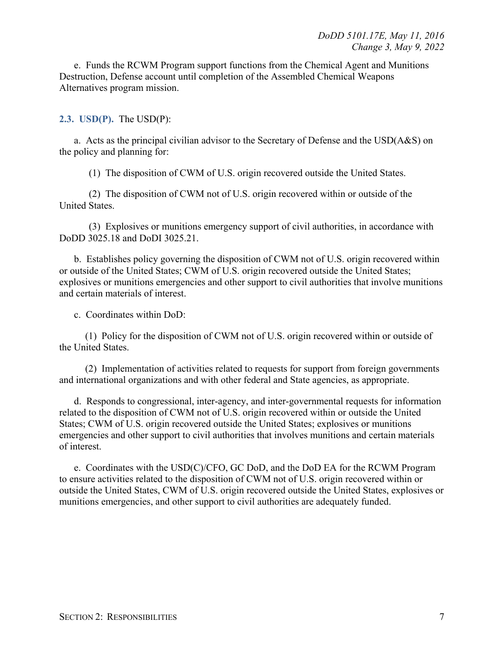e. Funds the RCWM Program support functions from the Chemical Agent and Munitions Destruction, Defense account until completion of the Assembled Chemical Weapons Alternatives program mission.

#### <span id="page-6-0"></span>**2.3. USD(P).** The USD(P):

a. Acts as the principal civilian advisor to the Secretary of Defense and the USD(A&S) on the policy and planning for:

(1) The disposition of CWM of U.S. origin recovered outside the United States.

(2) The disposition of CWM not of U.S. origin recovered within or outside of the United States.

(3) Explosives or munitions emergency support of civil authorities, in accordance with DoDD 3025.18 and DoDI 3025.21.

b. Establishes policy governing the disposition of CWM not of U.S. origin recovered within or outside of the United States; CWM of U.S. origin recovered outside the United States; explosives or munitions emergencies and other support to civil authorities that involve munitions and certain materials of interest.

c. Coordinates within DoD:

(1) Policy for the disposition of CWM not of U.S. origin recovered within or outside of the United States.

(2) Implementation of activities related to requests for support from foreign governments and international organizations and with other federal and State agencies, as appropriate.

d. Responds to congressional, inter-agency, and inter-governmental requests for information related to the disposition of CWM not of U.S. origin recovered within or outside the United States; CWM of U.S. origin recovered outside the United States; explosives or munitions emergencies and other support to civil authorities that involves munitions and certain materials of interest.

e. Coordinates with the USD(C)/CFO, GC DoD, and the DoD EA for the RCWM Program to ensure activities related to the disposition of CWM not of U.S. origin recovered within or outside the United States, CWM of U.S. origin recovered outside the United States, explosives or munitions emergencies, and other support to civil authorities are adequately funded.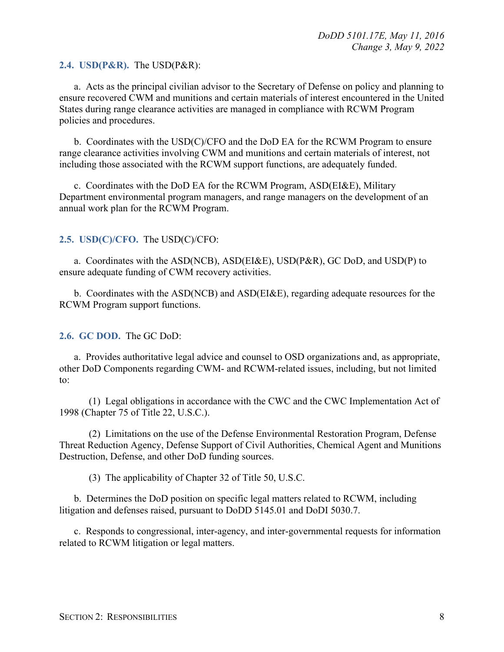#### <span id="page-7-0"></span>**2.4. USD(P&R).** The USD(P&R):

a. Acts as the principal civilian advisor to the Secretary of Defense on policy and planning to ensure recovered CWM and munitions and certain materials of interest encountered in the United States during range clearance activities are managed in compliance with RCWM Program policies and procedures.

b. Coordinates with the USD(C)/CFO and the DoD EA for the RCWM Program to ensure range clearance activities involving CWM and munitions and certain materials of interest, not including those associated with the RCWM support functions, are adequately funded.

c. Coordinates with the DoD EA for the RCWM Program, ASD(EI&E), Military Department environmental program managers, and range managers on the development of an annual work plan for the RCWM Program.

#### <span id="page-7-1"></span>**2.5. USD(C)/CFO.** The USD(C)/CFO:

a. Coordinates with the ASD(NCB), ASD(EI&E), USD(P&R), GC DoD, and USD(P) to ensure adequate funding of CWM recovery activities.

b. Coordinates with the ASD(NCB) and ASD(EI&E), regarding adequate resources for the RCWM Program support functions.

#### <span id="page-7-2"></span>**2.6. GC DOD.** The GC DoD:

a. Provides authoritative legal advice and counsel to OSD organizations and, as appropriate, other DoD Components regarding CWM- and RCWM-related issues, including, but not limited to:

(1) Legal obligations in accordance with the CWC and the CWC Implementation Act of 1998 (Chapter 75 of Title 22, U.S.C.).

(2) Limitations on the use of the Defense Environmental Restoration Program, Defense Threat Reduction Agency, Defense Support of Civil Authorities, Chemical Agent and Munitions Destruction, Defense, and other DoD funding sources.

(3) The applicability of Chapter 32 of Title 50, U.S.C.

b. Determines the DoD position on specific legal matters related to RCWM, including litigation and defenses raised, pursuant to DoDD 5145.01 and DoDI 5030.7.

c. Responds to congressional, inter-agency, and inter-governmental requests for information related to RCWM litigation or legal matters.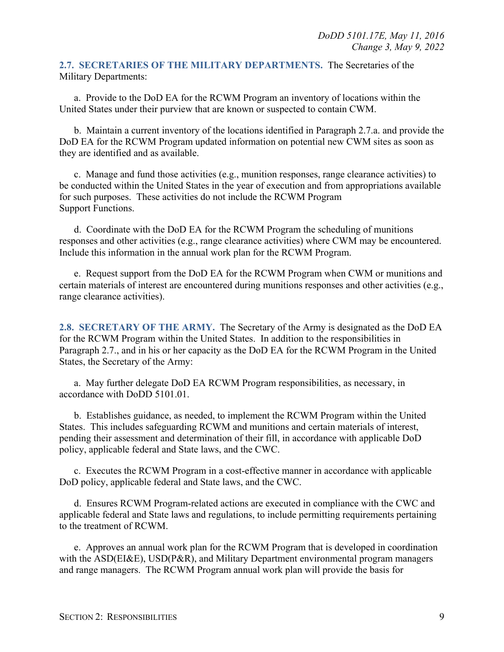<span id="page-8-0"></span>**2.7. SECRETARIES OF THE MILITARY DEPARTMENTS.** The Secretaries of the Military Departments:

a. Provide to the DoD EA for the RCWM Program an inventory of locations within the United States under their purview that are known or suspected to contain CWM.

b. Maintain a current inventory of the locations identified in Paragraph 2.7.a. and provide the DoD EA for the RCWM Program updated information on potential new CWM sites as soon as they are identified and as available.

c. Manage and fund those activities (e.g., munition responses, range clearance activities) to be conducted within the United States in the year of execution and from appropriations available for such purposes. These activities do not include the RCWM Program Support Functions.

d. Coordinate with the DoD EA for the RCWM Program the scheduling of munitions responses and other activities (e.g., range clearance activities) where CWM may be encountered. Include this information in the annual work plan for the RCWM Program.

e. Request support from the DoD EA for the RCWM Program when CWM or munitions and certain materials of interest are encountered during munitions responses and other activities (e.g., range clearance activities).

<span id="page-8-1"></span>**2.8. SECRETARY OF THE ARMY.** The Secretary of the Army is designated as the DoD EA for the RCWM Program within the United States. In addition to the responsibilities in Paragraph 2.7., and in his or her capacity as the DoD EA for the RCWM Program in the United States, the Secretary of the Army:

a. May further delegate DoD EA RCWM Program responsibilities, as necessary, in accordance with DoDD 5101.01.

b. Establishes guidance, as needed, to implement the RCWM Program within the United States. This includes safeguarding RCWM and munitions and certain materials of interest, pending their assessment and determination of their fill, in accordance with applicable DoD policy, applicable federal and State laws, and the CWC.

c. Executes the RCWM Program in a cost-effective manner in accordance with applicable DoD policy, applicable federal and State laws, and the CWC.

d. Ensures RCWM Program-related actions are executed in compliance with the CWC and applicable federal and State laws and regulations, to include permitting requirements pertaining to the treatment of RCWM.

e. Approves an annual work plan for the RCWM Program that is developed in coordination with the ASD(EI&E), USD(P&R), and Military Department environmental program managers and range managers. The RCWM Program annual work plan will provide the basis for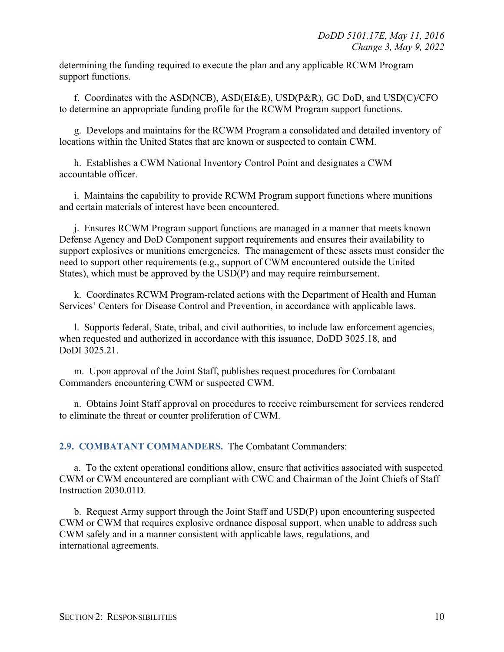determining the funding required to execute the plan and any applicable RCWM Program support functions.

f. Coordinates with the ASD(NCB), ASD(EI&E), USD(P&R), GC DoD, and USD(C)/CFO to determine an appropriate funding profile for the RCWM Program support functions.

g. Develops and maintains for the RCWM Program a consolidated and detailed inventory of locations within the United States that are known or suspected to contain CWM.

h. Establishes a CWM National Inventory Control Point and designates a CWM accountable officer.

i. Maintains the capability to provide RCWM Program support functions where munitions and certain materials of interest have been encountered.

j. Ensures RCWM Program support functions are managed in a manner that meets known Defense Agency and DoD Component support requirements and ensures their availability to support explosives or munitions emergencies. The management of these assets must consider the need to support other requirements (e.g., support of CWM encountered outside the United States), which must be approved by the USD(P) and may require reimbursement.

k. Coordinates RCWM Program-related actions with the Department of Health and Human Services' Centers for Disease Control and Prevention, in accordance with applicable laws.

l. Supports federal, State, tribal, and civil authorities, to include law enforcement agencies, when requested and authorized in accordance with this issuance, DoDD 3025.18, and DoDI 3025.21.

m. Upon approval of the Joint Staff, publishes request procedures for Combatant Commanders encountering CWM or suspected CWM.

n. Obtains Joint Staff approval on procedures to receive reimbursement for services rendered to eliminate the threat or counter proliferation of CWM.

<span id="page-9-0"></span>**2.9. COMBATANT COMMANDERS.** The Combatant Commanders:

a. To the extent operational conditions allow, ensure that activities associated with suspected CWM or CWM encountered are compliant with CWC and Chairman of the Joint Chiefs of Staff Instruction 2030.01D.

b. Request Army support through the Joint Staff and USD(P) upon encountering suspected CWM or CWM that requires explosive ordnance disposal support, when unable to address such CWM safely and in a manner consistent with applicable laws, regulations, and international agreements.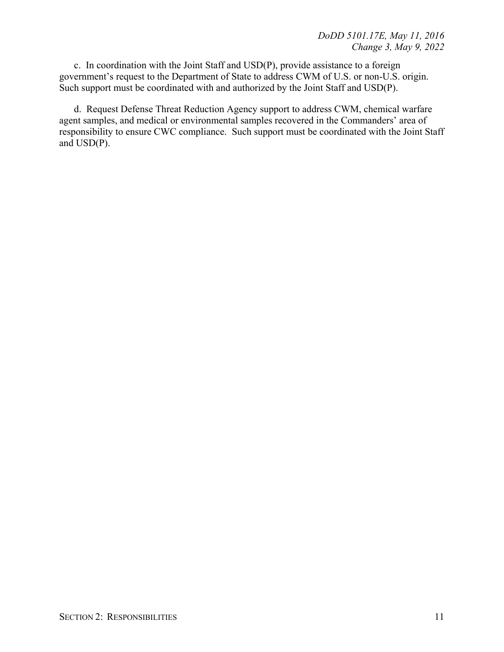c. In coordination with the Joint Staff and USD(P), provide assistance to a foreign government's request to the Department of State to address CWM of U.S. or non-U.S. origin. Such support must be coordinated with and authorized by the Joint Staff and USD(P).

d. Request Defense Threat Reduction Agency support to address CWM, chemical warfare agent samples, and medical or environmental samples recovered in the Commanders' area of responsibility to ensure CWC compliance. Such support must be coordinated with the Joint Staff and USD(P).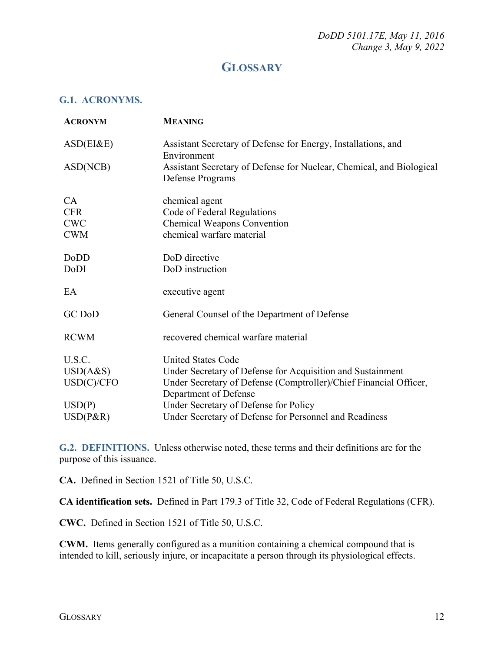*DoDD 5101.17E, May 11, 2016 Change 3, May 9, 2022* 

## **GLOSSARY**

#### <span id="page-11-1"></span><span id="page-11-0"></span>**G.1. ACRONYMS.**

| <b>ACRONYM</b> | <b>MEANING</b>                                                                             |
|----------------|--------------------------------------------------------------------------------------------|
| ASD(EI&E)      | Assistant Secretary of Defense for Energy, Installations, and<br>Environment               |
| ASD(NCB)       | Assistant Secretary of Defense for Nuclear, Chemical, and Biological<br>Defense Programs   |
| CA             | chemical agent                                                                             |
| <b>CFR</b>     | Code of Federal Regulations                                                                |
| <b>CWC</b>     | <b>Chemical Weapons Convention</b>                                                         |
| <b>CWM</b>     | chemical warfare material                                                                  |
| DoDD           | DoD directive                                                                              |
| DoDI           | DoD instruction                                                                            |
| EA             | executive agent                                                                            |
| GC DoD         | General Counsel of the Department of Defense                                               |
| <b>RCWM</b>    | recovered chemical warfare material                                                        |
| U.S.C.         | <b>United States Code</b>                                                                  |
| USD(A&S)       | Under Secretary of Defense for Acquisition and Sustainment                                 |
| USD(C)/CFO     | Under Secretary of Defense (Comptroller)/Chief Financial Officer,<br>Department of Defense |
| USD(P)         | Under Secretary of Defense for Policy                                                      |
| $USD(P\&R)$    | Under Secretary of Defense for Personnel and Readiness                                     |

<span id="page-11-2"></span>**G.2. DEFINITIONS.** Unless otherwise noted, these terms and their definitions are for the purpose of this issuance.

**CA.** Defined in Section 1521 of Title 50, U.S.C.

**CA identification sets.** Defined in Part 179.3 of Title 32, Code of Federal Regulations (CFR).

**CWC.** Defined in Section 1521 of Title 50, U.S.C.

**CWM.** Items generally configured as a munition containing a chemical compound that is intended to kill, seriously injure, or incapacitate a person through its physiological effects.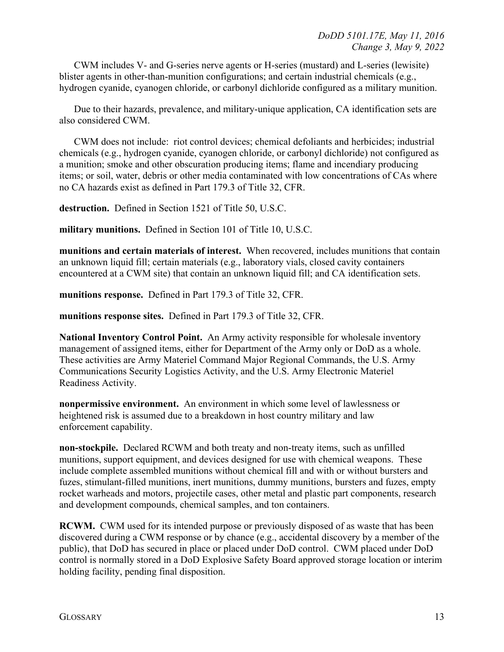CWM includes V- and G-series nerve agents or H-series (mustard) and L-series (lewisite) blister agents in other-than-munition configurations; and certain industrial chemicals (e.g., hydrogen cyanide, cyanogen chloride, or carbonyl dichloride configured as a military munition.

Due to their hazards, prevalence, and military-unique application, CA identification sets are also considered CWM.

CWM does not include: riot control devices; chemical defoliants and herbicides; industrial chemicals (e.g., hydrogen cyanide, cyanogen chloride, or carbonyl dichloride) not configured as a munition; smoke and other obscuration producing items; flame and incendiary producing items; or soil, water, debris or other media contaminated with low concentrations of CAs where no CA hazards exist as defined in Part 179.3 of Title 32, CFR.

**destruction.** Defined in Section 1521 of Title 50, U.S.C.

**military munitions.** Defined in Section 101 of Title 10, U.S.C.

**munitions and certain materials of interest.** When recovered, includes munitions that contain an unknown liquid fill; certain materials (e.g., laboratory vials, closed cavity containers encountered at a CWM site) that contain an unknown liquid fill; and CA identification sets.

**munitions response.** Defined in Part 179.3 of Title 32, CFR.

**munitions response sites.** Defined in Part 179.3 of Title 32, CFR.

**National Inventory Control Point.** An Army activity responsible for wholesale inventory management of assigned items, either for Department of the Army only or DoD as a whole. These activities are Army Materiel Command Major Regional Commands, the U.S. Army Communications Security Logistics Activity, and the U.S. Army Electronic Materiel Readiness Activity.

**nonpermissive environment.** An environment in which some level of lawlessness or heightened risk is assumed due to a breakdown in host country military and law enforcement capability.

**non-stockpile.** Declared RCWM and both treaty and non-treaty items, such as unfilled munitions, support equipment, and devices designed for use with chemical weapons. These include complete assembled munitions without chemical fill and with or without bursters and fuzes, stimulant-filled munitions, inert munitions, dummy munitions, bursters and fuzes, empty rocket warheads and motors, projectile cases, other metal and plastic part components, research and development compounds, chemical samples, and ton containers.

**RCWM.** CWM used for its intended purpose or previously disposed of as waste that has been discovered during a CWM response or by chance (e.g., accidental discovery by a member of the public), that DoD has secured in place or placed under DoD control. CWM placed under DoD control is normally stored in a DoD Explosive Safety Board approved storage location or interim holding facility, pending final disposition.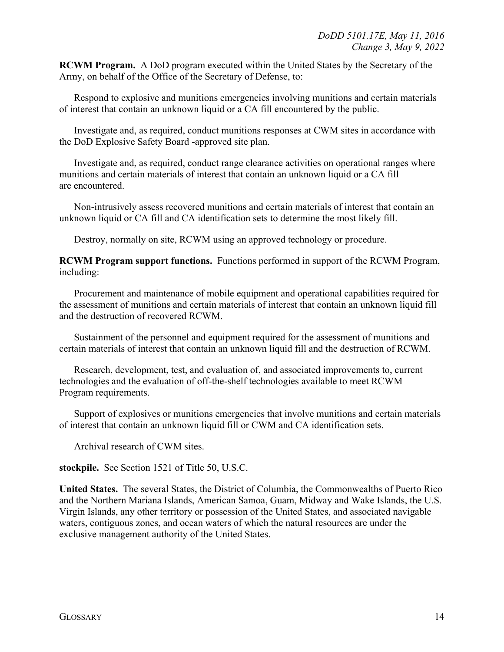**RCWM Program.** A DoD program executed within the United States by the Secretary of the Army, on behalf of the Office of the Secretary of Defense, to:

Respond to explosive and munitions emergencies involving munitions and certain materials of interest that contain an unknown liquid or a CA fill encountered by the public.

Investigate and, as required, conduct munitions responses at CWM sites in accordance with the DoD Explosive Safety Board -approved site plan.

Investigate and, as required, conduct range clearance activities on operational ranges where munitions and certain materials of interest that contain an unknown liquid or a CA fill are encountered.

Non-intrusively assess recovered munitions and certain materials of interest that contain an unknown liquid or CA fill and CA identification sets to determine the most likely fill.

Destroy, normally on site, RCWM using an approved technology or procedure.

**RCWM Program support functions.** Functions performed in support of the RCWM Program, including:

Procurement and maintenance of mobile equipment and operational capabilities required for the assessment of munitions and certain materials of interest that contain an unknown liquid fill and the destruction of recovered RCWM.

Sustainment of the personnel and equipment required for the assessment of munitions and certain materials of interest that contain an unknown liquid fill and the destruction of RCWM.

Research, development, test, and evaluation of, and associated improvements to, current technologies and the evaluation of off-the-shelf technologies available to meet RCWM Program requirements.

Support of explosives or munitions emergencies that involve munitions and certain materials of interest that contain an unknown liquid fill or CWM and CA identification sets.

Archival research of CWM sites.

**stockpile.** See Section 1521 of Title 50, U.S.C.

**United States.** The several States, the District of Columbia, the Commonwealths of Puerto Rico and the Northern Mariana Islands, American Samoa, Guam, Midway and Wake Islands, the U.S. Virgin Islands, any other territory or possession of the United States, and associated navigable waters, contiguous zones, and ocean waters of which the natural resources are under the exclusive management authority of the United States.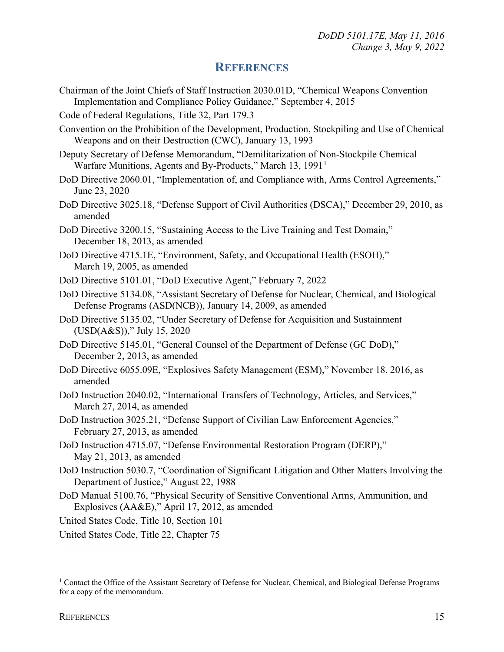### **REFERENCES**

- <span id="page-14-0"></span>Chairman of the Joint Chiefs of Staff Instruction 2030.01D, "Chemical Weapons Convention Implementation and Compliance Policy Guidance," September 4, 2015
- Code of Federal Regulations, Title 32, Part 179.3
- Convention on the Prohibition of the Development, Production, Stockpiling and Use of Chemical Weapons and on their Destruction (CWC), January 13, 1993
- Deputy Secretary of Defense Memorandum, "Demilitarization of Non-Stockpile Chemical Warfare Munitions, Agents and By-Products," March [1](#page-14-1)3, 1991<sup>1</sup>
- DoD Directive 2060.01, "Implementation of, and Compliance with, Arms Control Agreements," June 23, 2020
- DoD Directive 3025.18, "Defense Support of Civil Authorities (DSCA)," December 29, 2010, as amended
- DoD Directive 3200.15, "Sustaining Access to the Live Training and Test Domain," December 18, 2013, as amended
- DoD Directive 4715.1E, "Environment, Safety, and Occupational Health (ESOH)," March 19, 2005, as amended
- DoD Directive 5101.01, "DoD Executive Agent," February 7, 2022
- DoD Directive 5134.08, "Assistant Secretary of Defense for Nuclear, Chemical, and Biological Defense Programs (ASD(NCB)), January 14, 2009, as amended
- DoD Directive 5135.02, "Under Secretary of Defense for Acquisition and Sustainment (USD(A&S))," July 15, 2020
- DoD Directive 5145.01, "General Counsel of the Department of Defense (GC DoD)," December 2, 2013, as amended
- DoD Directive 6055.09E, "Explosives Safety Management (ESM)," November 18, 2016, as amended
- DoD Instruction 2040.02, "International Transfers of Technology, Articles, and Services," March 27, 2014, as amended
- DoD Instruction 3025.21, "Defense Support of Civilian Law Enforcement Agencies," February 27, 2013, as amended
- DoD Instruction 4715.07, "Defense Environmental Restoration Program (DERP)," May 21, 2013, as amended
- DoD Instruction 5030.7, "Coordination of Significant Litigation and Other Matters Involving the Department of Justice," August 22, 1988
- DoD Manual 5100.76, "Physical Security of Sensitive Conventional Arms, Ammunition, and Explosives (AA&E)," April 17, 2012, as amended

United States Code, Title 10, Section 101

United States Code, Title 22, Chapter 75

<span id="page-14-1"></span><sup>&</sup>lt;sup>1</sup> Contact the Office of the Assistant Secretary of Defense for Nuclear, Chemical, and Biological Defense Programs for a copy of the memorandum.